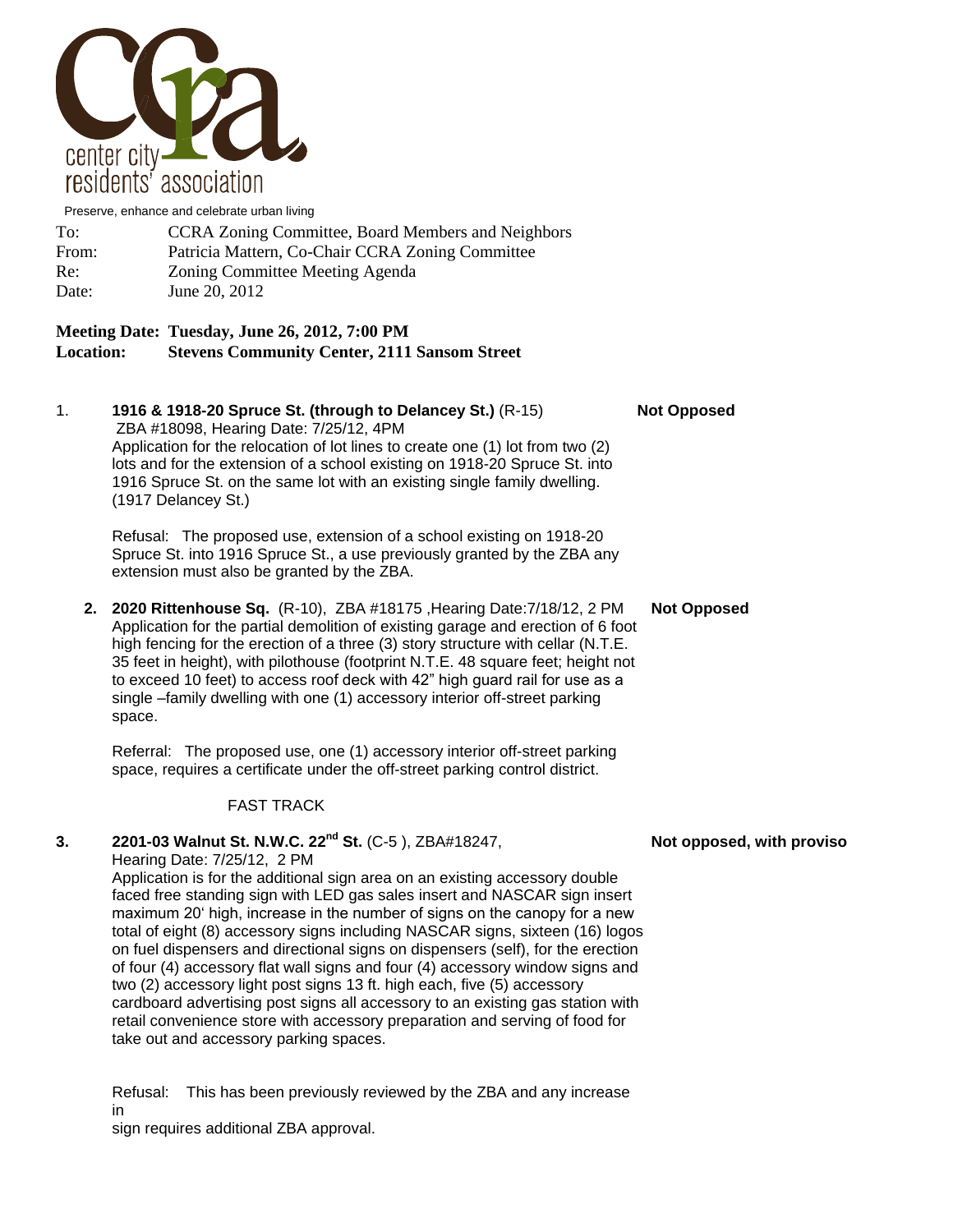

Preserve, enhance and celebrate urban living

| To:   | <b>CCRA Zoning Committee, Board Members and Neighbors</b> |
|-------|-----------------------------------------------------------|
| From: | Patricia Mattern, Co-Chair CCRA Zoning Committee          |
| Re:   | Zoning Committee Meeting Agenda                           |
| Date: | June 20, 2012                                             |

## **Meeting Date: Tuesday, June 26, 2012, 7:00 PM Location: Stevens Community Center, 2111 Sansom Street**

1. **1916 & 1918-20 Spruce St. (through to Delancey St.)** (R-15) **Not Opposed** ZBA #18098, Hearing Date: 7/25/12, 4PM Application for the relocation of lot lines to create one (1) lot from two (2) lots and for the extension of a school existing on 1918-20 Spruce St. into 1916 Spruce St. on the same lot with an existing single family dwelling. (1917 Delancey St.)

Refusal: The proposed use, extension of a school existing on 1918-20 Spruce St. into 1916 Spruce St., a use previously granted by the ZBA any extension must also be granted by the ZBA.

**2. 2020 Rittenhouse Sq.** (R-10), ZBA #18175 ,Hearing Date:7/18/12, 2 PM **Not Opposed** Application for the partial demolition of existing garage and erection of 6 foot high fencing for the erection of a three (3) story structure with cellar (N.T.E. 35 feet in height), with pilothouse (footprint N.T.E. 48 square feet; height not to exceed 10 feet) to access roof deck with 42" high guard rail for use as a single –family dwelling with one (1) accessory interior off-street parking space.

Referral: The proposed use, one (1) accessory interior off-street parking space, requires a certificate under the off-street parking control district.

## FAST TRACK

## **3. 2201-03 Walnut St. N.W.C. 22<sup>nd</sup> St.** (C-5), ZBA#18247, **Not opposed, with proviso** Hearing Date: 7/25/12, 2 PM

Application is for the additional sign area on an existing accessory double faced free standing sign with LED gas sales insert and NASCAR sign insert maximum 20' high, increase in the number of signs on the canopy for a new total of eight (8) accessory signs including NASCAR signs, sixteen (16) logos on fuel dispensers and directional signs on dispensers (self), for the erection of four (4) accessory flat wall signs and four (4) accessory window signs and two (2) accessory light post signs 13 ft. high each, five (5) accessory cardboard advertising post signs all accessory to an existing gas station with retail convenience store with accessory preparation and serving of food for take out and accessory parking spaces.

Refusal: This has been previously reviewed by the ZBA and any increase in sign requires additional ZBA approval.